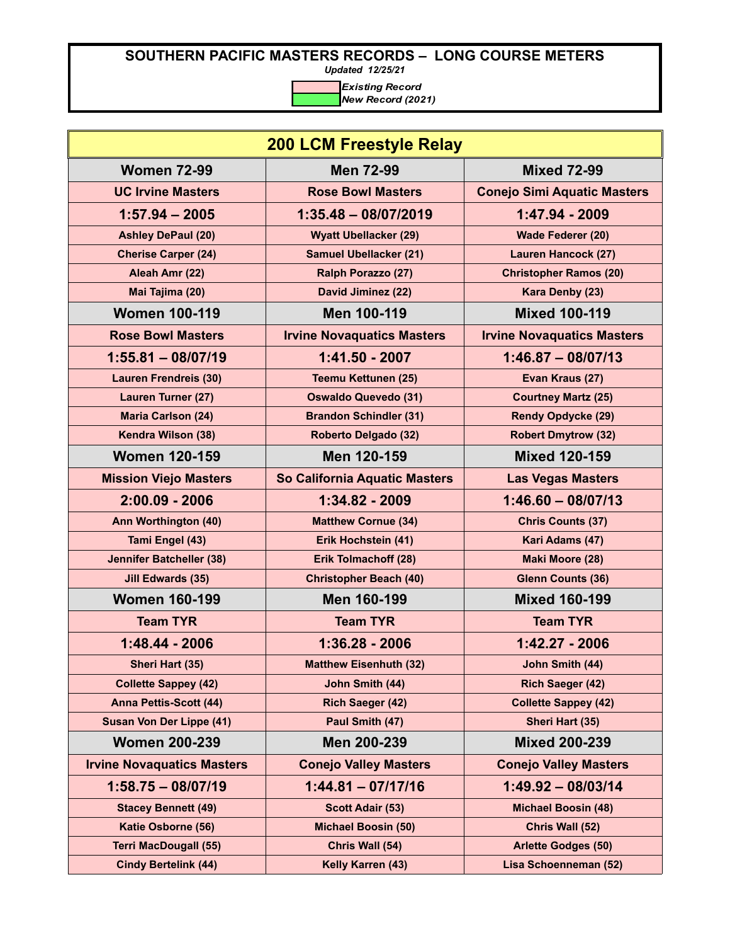*Updated 12/25/21*

| <b>200 LCM Freestyle Relay</b>    |                                   |                                    |
|-----------------------------------|-----------------------------------|------------------------------------|
| <b>Women 72-99</b>                | <b>Men 72-99</b>                  | <b>Mixed 72-99</b>                 |
| <b>UC Irvine Masters</b>          | <b>Rose Bowl Masters</b>          | <b>Conejo Simi Aquatic Masters</b> |
| $1:57.94 - 2005$                  | $1:35.48 - 08/07/2019$            | 1:47.94 - 2009                     |
| <b>Ashley DePaul (20)</b>         | <b>Wyatt Ubellacker (29)</b>      | Wade Federer (20)                  |
| <b>Cherise Carper (24)</b>        | <b>Samuel Ubellacker (21)</b>     | <b>Lauren Hancock (27)</b>         |
| Aleah Amr (22)                    | Ralph Porazzo (27)                | <b>Christopher Ramos (20)</b>      |
| Mai Tajima (20)                   | David Jiminez (22)                | Kara Denby (23)                    |
| <b>Women 100-119</b>              | Men 100-119                       | <b>Mixed 100-119</b>               |
| <b>Rose Bowl Masters</b>          | <b>Irvine Novaquatics Masters</b> | <b>Irvine Novaquatics Masters</b>  |
| $1:55.81 - 08/07/19$              | 1:41.50 - 2007                    | $1:46.87 - 08/07/13$               |
| <b>Lauren Frendreis (30)</b>      | <b>Teemu Kettunen (25)</b>        | Evan Kraus (27)                    |
| <b>Lauren Turner (27)</b>         | <b>Oswaldo Quevedo (31)</b>       | <b>Courtney Martz (25)</b>         |
| <b>Maria Carlson (24)</b>         | <b>Brandon Schindler (31)</b>     | <b>Rendy Opdycke (29)</b>          |
| Kendra Wilson (38)                | Roberto Delgado (32)              | <b>Robert Dmytrow (32)</b>         |
| <b>Women 120-159</b>              | Men 120-159                       | <b>Mixed 120-159</b>               |
| <b>Mission Viejo Masters</b>      | So California Aquatic Masters     | <b>Las Vegas Masters</b>           |
| $2:00.09 - 2006$                  | 1:34.82 - 2009                    | $1:46.60 - 08/07/13$               |
| Ann Worthington (40)              | <b>Matthew Cornue (34)</b>        | <b>Chris Counts (37)</b>           |
| Tami Engel (43)                   | Erik Hochstein (41)               | Kari Adams (47)                    |
| <b>Jennifer Batcheller (38)</b>   | Erik Tolmachoff (28)              | Maki Moore (28)                    |
| <b>Jill Edwards (35)</b>          | <b>Christopher Beach (40)</b>     | <b>Glenn Counts (36)</b>           |
| <b>Women 160-199</b>              | Men 160-199                       | <b>Mixed 160-199</b>               |
| <b>Team TYR</b>                   | <b>Team TYR</b>                   | <b>Team TYR</b>                    |
| 1:48.44 - 2006                    | $1:36.28 - 2006$                  | 1:42.27 - 2006                     |
| Sheri Hart (35)                   | <b>Matthew Eisenhuth (32)</b>     | John Smith (44)                    |
| <b>Collette Sappey (42)</b>       | John Smith (44)                   | <b>Rich Saeger (42)</b>            |
| Anna Pettis-Scott (44)            | <b>Rich Saeger (42)</b>           | <b>Collette Sappey (42)</b>        |
| Susan Von Der Lippe (41)          | Paul Smith (47)                   | Sheri Hart (35)                    |
| <b>Women 200-239</b>              | Men 200-239                       | <b>Mixed 200-239</b>               |
| <b>Irvine Novaquatics Masters</b> | <b>Conejo Valley Masters</b>      | <b>Conejo Valley Masters</b>       |
| $1:58.75 - 08/07/19$              | $1:44.81 - 07/17/16$              | 1:49.92 - 08/03/14                 |
| <b>Stacey Bennett (49)</b>        | <b>Scott Adair (53)</b>           | <b>Michael Boosin (48)</b>         |
| Katie Osborne (56)                | <b>Michael Boosin (50)</b>        | Chris Wall (52)                    |
| <b>Terri MacDougall (55)</b>      | Chris Wall (54)                   | <b>Arlette Godges (50)</b>         |
| <b>Cindy Bertelink (44)</b>       | Kelly Karren (43)                 | Lisa Schoenneman (52)              |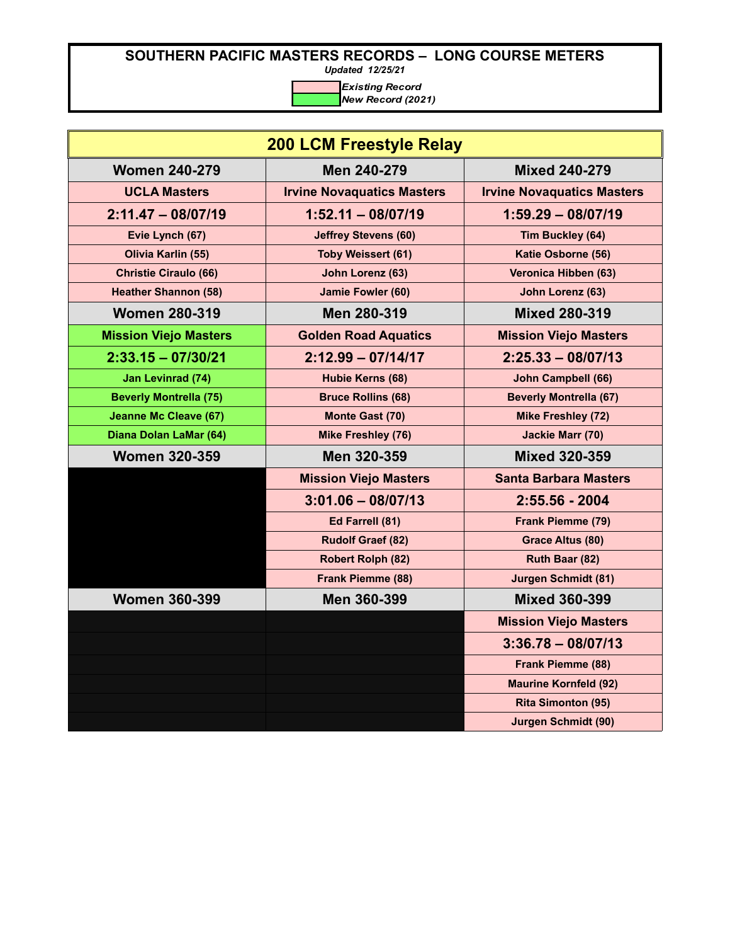*Updated 12/25/21*

| <b>200 LCM Freestyle Relay</b> |                                   |                                   |
|--------------------------------|-----------------------------------|-----------------------------------|
| <b>Women 240-279</b>           | Men 240-279                       | <b>Mixed 240-279</b>              |
| <b>UCLA Masters</b>            | <b>Irvine Novaquatics Masters</b> | <b>Irvine Novaquatics Masters</b> |
| $2:11.47 - 08/07/19$           | $1:52.11 - 08/07/19$              | $1:59.29 - 08/07/19$              |
| Evie Lynch (67)                | <b>Jeffrey Stevens (60)</b>       | Tim Buckley (64)                  |
| Olivia Karlin (55)             | <b>Toby Weissert (61)</b>         | Katie Osborne (56)                |
| <b>Christie Ciraulo (66)</b>   | John Lorenz (63)                  | Veronica Hibben (63)              |
| <b>Heather Shannon (58)</b>    | Jamie Fowler (60)                 | John Lorenz (63)                  |
| <b>Women 280-319</b>           | Men 280-319                       | <b>Mixed 280-319</b>              |
| <b>Mission Viejo Masters</b>   | <b>Golden Road Aquatics</b>       | <b>Mission Viejo Masters</b>      |
| $2:33.15 - 07/30/21$           | $2:12.99 - 07/14/17$              | $2:25.33 - 08/07/13$              |
| Jan Levinrad (74)              | Hubie Kerns (68)                  | John Campbell (66)                |
| <b>Beverly Montrella (75)</b>  | <b>Bruce Rollins (68)</b>         | <b>Beverly Montrella (67)</b>     |
| <b>Jeanne Mc Cleave (67)</b>   | Monte Gast (70)                   | <b>Mike Freshley (72)</b>         |
| Diana Dolan LaMar (64)         | <b>Mike Freshley (76)</b>         | <b>Jackie Marr (70)</b>           |
| <b>Women 320-359</b>           | Men 320-359                       | <b>Mixed 320-359</b>              |
|                                | <b>Mission Viejo Masters</b>      | <b>Santa Barbara Masters</b>      |
|                                | $3:01.06 - 08/07/13$              | $2:55.56 - 2004$                  |
|                                | Ed Farrell (81)                   | Frank Piemme (79)                 |
|                                | <b>Rudolf Graef (82)</b>          | <b>Grace Altus (80)</b>           |
|                                | <b>Robert Rolph (82)</b>          | Ruth Baar (82)                    |
|                                | Frank Piemme (88)                 | <b>Jurgen Schmidt (81)</b>        |
| <b>Women 360-399</b>           | Men 360-399                       | <b>Mixed 360-399</b>              |
|                                |                                   | <b>Mission Viejo Masters</b>      |
|                                |                                   | $3:36.78 - 08/07/13$              |
|                                |                                   | Frank Piemme (88)                 |
|                                |                                   | <b>Maurine Kornfeld (92)</b>      |
|                                |                                   | <b>Rita Simonton (95)</b>         |
|                                |                                   | <b>Jurgen Schmidt (90)</b>        |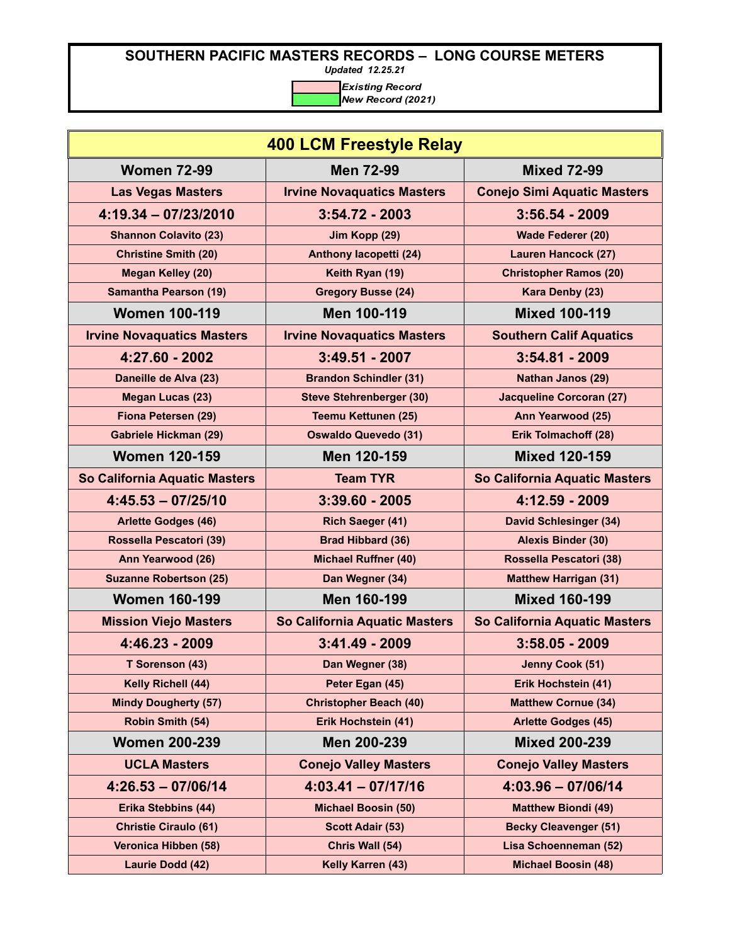*Updated 12.25.21*

| <b>400 LCM Freestyle Relay</b>    |                                   |                                    |
|-----------------------------------|-----------------------------------|------------------------------------|
| <b>Women 72-99</b>                | <b>Men 72-99</b>                  | <b>Mixed 72-99</b>                 |
| <b>Las Vegas Masters</b>          | <b>Irvine Novaquatics Masters</b> | <b>Conejo Simi Aquatic Masters</b> |
| $4:19.34 - 07/23/2010$            | $3:54.72 - 2003$                  | $3:56.54 - 2009$                   |
| <b>Shannon Colavito (23)</b>      | Jim Kopp (29)                     | Wade Federer (20)                  |
| <b>Christine Smith (20)</b>       | Anthony lacopetti (24)            | <b>Lauren Hancock (27)</b>         |
| <b>Megan Kelley (20)</b>          | Keith Ryan (19)                   | <b>Christopher Ramos (20)</b>      |
| <b>Samantha Pearson (19)</b>      | <b>Gregory Busse (24)</b>         | Kara Denby (23)                    |
| <b>Women 100-119</b>              | Men 100-119                       | <b>Mixed 100-119</b>               |
| <b>Irvine Novaquatics Masters</b> | <b>Irvine Novaquatics Masters</b> | <b>Southern Calif Aquatics</b>     |
| 4:27.60 - 2002                    | $3:49.51 - 2007$                  | $3:54.81 - 2009$                   |
| Daneille de Alva (23)             | <b>Brandon Schindler (31)</b>     | <b>Nathan Janos (29)</b>           |
| Megan Lucas (23)                  | <b>Steve Stehrenberger (30)</b>   | <b>Jacqueline Corcoran (27)</b>    |
| Fiona Petersen (29)               | <b>Teemu Kettunen (25)</b>        | Ann Yearwood (25)                  |
| <b>Gabriele Hickman (29)</b>      | <b>Oswaldo Quevedo (31)</b>       | <b>Erik Tolmachoff (28)</b>        |
| <b>Women 120-159</b>              | Men 120-159                       | <b>Mixed 120-159</b>               |
| So California Aquatic Masters     | <b>Team TYR</b>                   | So California Aquatic Masters      |
| $4:45.53 - 07/25/10$              | $3:39.60 - 2005$                  | 4:12.59 - 2009                     |
| <b>Arlette Godges (46)</b>        | Rich Saeger (41)                  | <b>David Schlesinger (34)</b>      |
| Rossella Pescatori (39)           | <b>Brad Hibbard (36)</b>          | <b>Alexis Binder (30)</b>          |
| Ann Yearwood (26)                 | <b>Michael Ruffner (40)</b>       | Rossella Pescatori (38)            |
| <b>Suzanne Robertson (25)</b>     | Dan Wegner (34)                   | <b>Matthew Harrigan (31)</b>       |
| <b>Women 160-199</b>              | Men 160-199                       | <b>Mixed 160-199</b>               |
| <b>Mission Viejo Masters</b>      | So California Aquatic Masters     | So California Aquatic Masters      |
| 4:46.23 - 2009                    | $3:41.49 - 2009$                  | $3:58.05 - 2009$                   |
| T Sorenson (43)                   | Dan Wegner (38)                   | Jenny Cook (51)                    |
| Kelly Richell (44)                | Peter Egan (45)                   | Erik Hochstein (41)                |
| <b>Mindy Dougherty (57)</b>       | <b>Christopher Beach (40)</b>     | <b>Matthew Cornue (34)</b>         |
| Robin Smith (54)                  | Erik Hochstein (41)               | <b>Arlette Godges (45)</b>         |
| <b>Women 200-239</b>              | Men 200-239                       | <b>Mixed 200-239</b>               |
| <b>UCLA Masters</b>               | <b>Conejo Valley Masters</b>      | <b>Conejo Valley Masters</b>       |
| $4:26.53 - 07/06/14$              | $4:03.41 - 07/17/16$              | $4:03.96 - 07/06/14$               |
| <b>Erika Stebbins (44)</b>        | <b>Michael Boosin (50)</b>        | <b>Matthew Biondi (49)</b>         |
| <b>Christie Ciraulo (61)</b>      | <b>Scott Adair (53)</b>           | <b>Becky Cleavenger (51)</b>       |
| Veronica Hibben (58)              | Chris Wall (54)                   | Lisa Schoenneman (52)              |
| Laurie Dodd (42)                  | Kelly Karren (43)                 | <b>Michael Boosin (48)</b>         |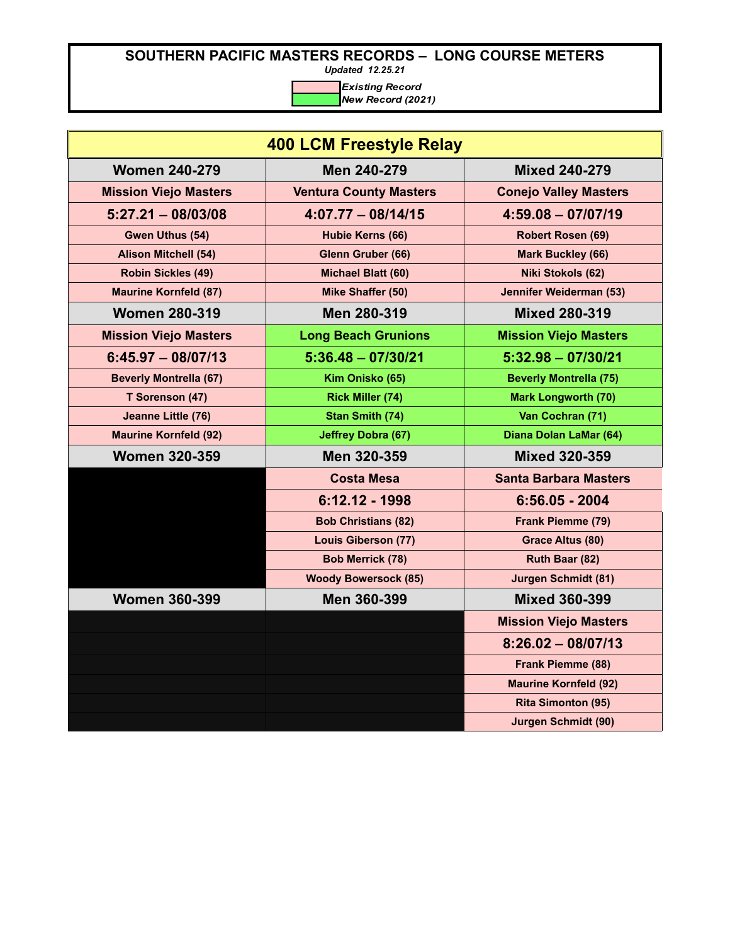*Updated 12.25.21*

| <b>400 LCM Freestyle Relay</b> |                               |                               |
|--------------------------------|-------------------------------|-------------------------------|
| <b>Women 240-279</b>           | Men 240-279                   | <b>Mixed 240-279</b>          |
| <b>Mission Viejo Masters</b>   | <b>Ventura County Masters</b> | <b>Conejo Valley Masters</b>  |
| $5:27.21 - 08/03/08$           | $4:07.77 - 08/14/15$          | $4:59.08 - 07/07/19$          |
| Gwen Uthus (54)                | Hubie Kerns (66)              | Robert Rosen (69)             |
| <b>Alison Mitchell (54)</b>    | Glenn Gruber (66)             | <b>Mark Buckley (66)</b>      |
| <b>Robin Sickles (49)</b>      | Michael Blatt (60)            | Niki Stokols (62)             |
| <b>Maurine Kornfeld (87)</b>   | Mike Shaffer (50)             | Jennifer Weiderman (53)       |
| <b>Women 280-319</b>           | Men 280-319                   | <b>Mixed 280-319</b>          |
| <b>Mission Viejo Masters</b>   | <b>Long Beach Grunions</b>    | <b>Mission Viejo Masters</b>  |
| $6:45.97 - 08/07/13$           | $5:36.48 - 07/30/21$          | $5:32.98 - 07/30/21$          |
| <b>Beverly Montrella (67)</b>  | Kim Onisko (65)               | <b>Beverly Montrella (75)</b> |
| T Sorenson (47)                | <b>Rick Miller (74)</b>       | <b>Mark Longworth (70)</b>    |
| Jeanne Little (76)             | <b>Stan Smith (74)</b>        | Van Cochran (71)              |
| <b>Maurine Kornfeld (92)</b>   | <b>Jeffrey Dobra (67)</b>     | Diana Dolan LaMar (64)        |
| <b>Women 320-359</b>           | Men 320-359                   | <b>Mixed 320-359</b>          |
|                                | <b>Costa Mesa</b>             | <b>Santa Barbara Masters</b>  |
|                                | 6:12.12 - 1998                | $6:56.05 - 2004$              |
|                                | <b>Bob Christians (82)</b>    | Frank Piemme (79)             |
|                                | <b>Louis Giberson (77)</b>    | Grace Altus (80)              |
|                                | <b>Bob Merrick (78)</b>       | Ruth Baar (82)                |
|                                | <b>Woody Bowersock (85)</b>   | <b>Jurgen Schmidt (81)</b>    |
| <b>Women 360-399</b>           | Men 360-399                   | <b>Mixed 360-399</b>          |
|                                |                               | <b>Mission Viejo Masters</b>  |
|                                |                               | $8:26.02 - 08/07/13$          |
|                                |                               | Frank Piemme (88)             |
|                                |                               | <b>Maurine Kornfeld (92)</b>  |
|                                |                               | <b>Rita Simonton (95)</b>     |
|                                |                               | <b>Jurgen Schmidt (90)</b>    |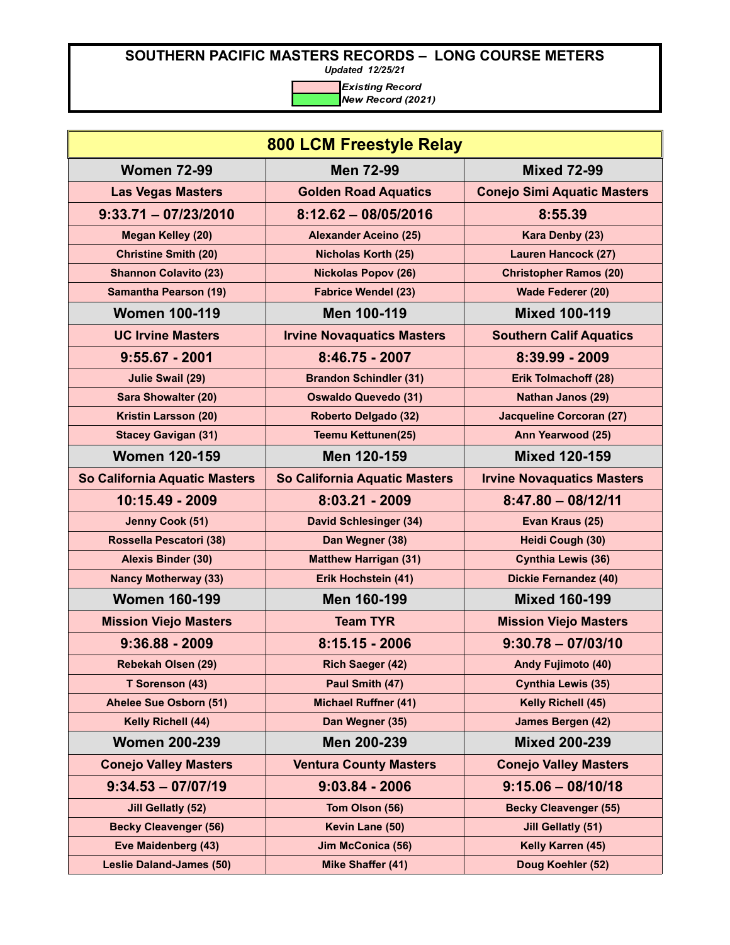*Updated 12/25/21*

| <b>800 LCM Freestyle Relay</b>  |                                   |                                    |
|---------------------------------|-----------------------------------|------------------------------------|
| <b>Women 72-99</b>              | <b>Men 72-99</b>                  | <b>Mixed 72-99</b>                 |
| <b>Las Vegas Masters</b>        | <b>Golden Road Aquatics</b>       | <b>Conejo Simi Aquatic Masters</b> |
| $9:33.71 - 07/23/2010$          | $8:12.62 - 08/05/2016$            | 8:55.39                            |
| <b>Megan Kelley (20)</b>        | <b>Alexander Aceino (25)</b>      | Kara Denby (23)                    |
| <b>Christine Smith (20)</b>     | <b>Nicholas Korth (25)</b>        | <b>Lauren Hancock (27)</b>         |
| <b>Shannon Colavito (23)</b>    | <b>Nickolas Popov (26)</b>        | <b>Christopher Ramos (20)</b>      |
| <b>Samantha Pearson (19)</b>    | <b>Fabrice Wendel (23)</b>        | Wade Federer (20)                  |
| <b>Women 100-119</b>            | Men 100-119                       | <b>Mixed 100-119</b>               |
| <b>UC Irvine Masters</b>        | <b>Irvine Novaquatics Masters</b> | <b>Southern Calif Aquatics</b>     |
| $9:55.67 - 2001$                | 8:46.75 - 2007                    | 8:39.99 - 2009                     |
| <b>Julie Swail (29)</b>         | <b>Brandon Schindler (31)</b>     | Erik Tolmachoff (28)               |
| <b>Sara Showalter (20)</b>      | <b>Oswaldo Quevedo (31)</b>       | <b>Nathan Janos (29)</b>           |
| <b>Kristin Larsson (20)</b>     | Roberto Delgado (32)              | <b>Jacqueline Corcoran (27)</b>    |
| <b>Stacey Gavigan (31)</b>      | <b>Teemu Kettunen(25)</b>         | Ann Yearwood (25)                  |
| <b>Women 120-159</b>            | Men 120-159                       | <b>Mixed 120-159</b>               |
| So California Aquatic Masters   | So California Aquatic Masters     | <b>Irvine Novaquatics Masters</b>  |
| 10:15.49 - 2009                 | $8:03.21 - 2009$                  | $8:47.80 - 08/12/11$               |
| Jenny Cook (51)                 | <b>David Schlesinger (34)</b>     | Evan Kraus (25)                    |
| Rossella Pescatori (38)         | Dan Wegner (38)                   | Heidi Cough (30)                   |
| <b>Alexis Binder (30)</b>       | <b>Matthew Harrigan (31)</b>      | <b>Cynthia Lewis (36)</b>          |
| <b>Nancy Motherway (33)</b>     | Erik Hochstein (41)               | <b>Dickie Fernandez (40)</b>       |
| <b>Women 160-199</b>            | Men 160-199                       | <b>Mixed 160-199</b>               |
| <b>Mission Viejo Masters</b>    | <b>Team TYR</b>                   | <b>Mission Viejo Masters</b>       |
| $9:36.88 - 2009$                | $8:15.15 - 2006$                  | $9:30.78 - 07/03/10$               |
| Rebekah Olsen (29)              | <b>Rich Saeger (42)</b>           | <b>Andy Fujimoto (40)</b>          |
| T Sorenson (43)                 | Paul Smith (47)                   | <b>Cynthia Lewis (35)</b>          |
| Ahelee Sue Osborn (51)          | <b>Michael Ruffner (41)</b>       | Kelly Richell (45)                 |
| Kelly Richell (44)              | Dan Wegner (35)                   | James Bergen (42)                  |
| <b>Women 200-239</b>            | Men 200-239                       | <b>Mixed 200-239</b>               |
| <b>Conejo Valley Masters</b>    | <b>Ventura County Masters</b>     | <b>Conejo Valley Masters</b>       |
| $9:34.53 - 07/07/19$            | $9:03.84 - 2006$                  | $9:15.06 - 08/10/18$               |
| <b>Jill Gellatly (52)</b>       | Tom Olson (56)                    | <b>Becky Cleavenger (55)</b>       |
| <b>Becky Cleavenger (56)</b>    | Kevin Lane (50)                   | <b>Jill Gellatly (51)</b>          |
| Eve Maidenberg (43)             | Jim McConica (56)                 | Kelly Karren (45)                  |
| <b>Leslie Daland-James (50)</b> | Mike Shaffer (41)                 | Doug Koehler (52)                  |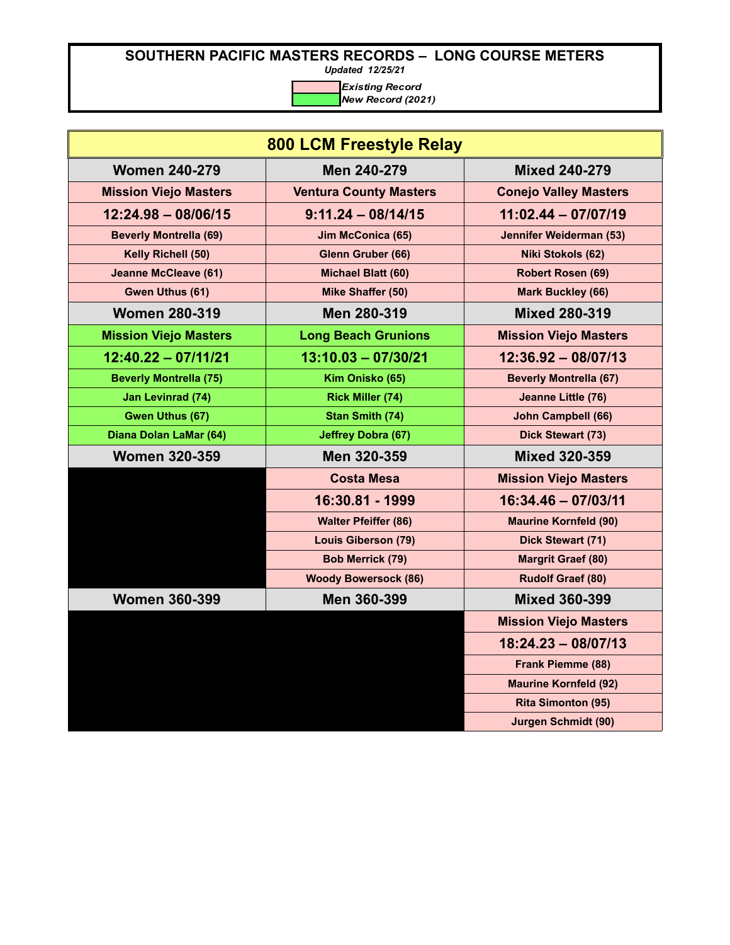*Updated 12/25/21*

| <b>800 LCM Freestyle Relay</b> |                               |                               |
|--------------------------------|-------------------------------|-------------------------------|
| <b>Women 240-279</b>           | Men 240-279                   | <b>Mixed 240-279</b>          |
| <b>Mission Viejo Masters</b>   | <b>Ventura County Masters</b> | <b>Conejo Valley Masters</b>  |
| $12:24.98 - 08/06/15$          | $9:11.24 - 08/14/15$          | $11:02.44 - 07/07/19$         |
| <b>Beverly Montrella (69)</b>  | Jim McConica (65)             | Jennifer Weiderman (53)       |
| Kelly Richell (50)             | Glenn Gruber (66)             | Niki Stokols (62)             |
| <b>Jeanne McCleave (61)</b>    | Michael Blatt (60)            | Robert Rosen (69)             |
| Gwen Uthus (61)                | Mike Shaffer (50)             | <b>Mark Buckley (66)</b>      |
| <b>Women 280-319</b>           | Men 280-319                   | <b>Mixed 280-319</b>          |
| <b>Mission Viejo Masters</b>   | <b>Long Beach Grunions</b>    | <b>Mission Viejo Masters</b>  |
| $12:40.22 - 07/11/21$          | $13:10.03 - 07/30/21$         | $12:36.92 - 08/07/13$         |
| <b>Beverly Montrella (75)</b>  | Kim Onisko (65)               | <b>Beverly Montrella (67)</b> |
| <b>Jan Levinrad (74)</b>       | <b>Rick Miller (74)</b>       | Jeanne Little (76)            |
| Gwen Uthus (67)                | Stan Smith (74)               | <b>John Campbell (66)</b>     |
| Diana Dolan LaMar (64)         | <b>Jeffrey Dobra (67)</b>     | Dick Stewart (73)             |
| <b>Women 320-359</b>           | Men 320-359                   | <b>Mixed 320-359</b>          |
|                                | <b>Costa Mesa</b>             | <b>Mission Viejo Masters</b>  |
|                                | 16:30.81 - 1999               | $16:34.46 - 07/03/11$         |
|                                | <b>Walter Pfeiffer (86)</b>   | <b>Maurine Kornfeld (90)</b>  |
|                                | <b>Louis Giberson (79)</b>    | Dick Stewart (71)             |
|                                | <b>Bob Merrick (79)</b>       | <b>Margrit Graef (80)</b>     |
|                                | <b>Woody Bowersock (86)</b>   | <b>Rudolf Graef (80)</b>      |
| <b>Women 360-399</b>           | Men 360-399                   | <b>Mixed 360-399</b>          |
|                                |                               | <b>Mission Viejo Masters</b>  |
|                                |                               | $18:24.23 - 08/07/13$         |
|                                |                               | <b>Frank Piemme (88)</b>      |
|                                |                               | <b>Maurine Kornfeld (92)</b>  |
|                                |                               | <b>Rita Simonton (95)</b>     |
|                                |                               | <b>Jurgen Schmidt (90)</b>    |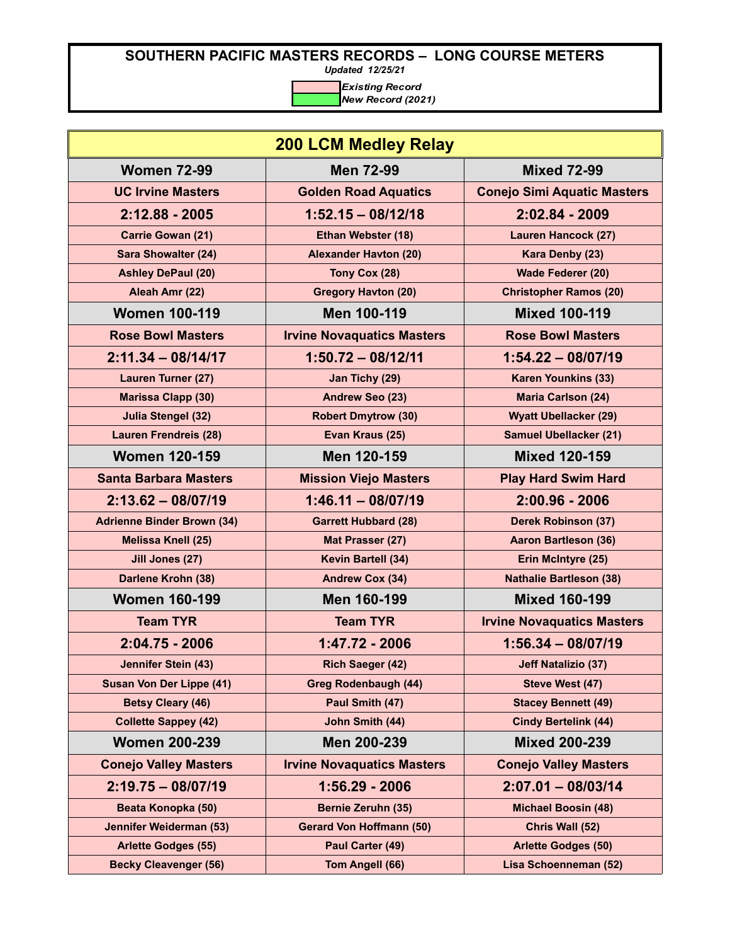*Updated 12/25/21*

| <b>200 LCM Medley Relay</b>       |                                   |                                    |
|-----------------------------------|-----------------------------------|------------------------------------|
| <b>Women 72-99</b>                | <b>Men 72-99</b>                  | <b>Mixed 72-99</b>                 |
| <b>UC Irvine Masters</b>          | <b>Golden Road Aquatics</b>       | <b>Conejo Simi Aquatic Masters</b> |
| 2:12.88 - 2005                    | $1:52.15 - 08/12/18$              | 2:02.84 - 2009                     |
| Carrie Gowan (21)                 | Ethan Webster (18)                | <b>Lauren Hancock (27)</b>         |
| <b>Sara Showalter (24)</b>        | <b>Alexander Havton (20)</b>      | Kara Denby (23)                    |
| <b>Ashley DePaul (20)</b>         | Tony Cox (28)                     | Wade Federer (20)                  |
| Aleah Amr (22)                    | <b>Gregory Havton (20)</b>        | <b>Christopher Ramos (20)</b>      |
| <b>Women 100-119</b>              | Men 100-119                       | <b>Mixed 100-119</b>               |
| <b>Rose Bowl Masters</b>          | <b>Irvine Novaquatics Masters</b> | <b>Rose Bowl Masters</b>           |
| $2:11.34 - 08/14/17$              | $1:50.72 - 08/12/11$              | $1:54.22 - 08/07/19$               |
| Lauren Turner (27)                | Jan Tichy (29)                    | <b>Karen Younkins (33)</b>         |
| <b>Marissa Clapp (30)</b>         | Andrew Seo (23)                   | <b>Maria Carlson (24)</b>          |
| <b>Julia Stengel (32)</b>         | <b>Robert Dmytrow (30)</b>        | <b>Wyatt Ubellacker (29)</b>       |
| <b>Lauren Frendreis (28)</b>      | Evan Kraus (25)                   | <b>Samuel Ubellacker (21)</b>      |
| <b>Women 120-159</b>              | Men 120-159                       | <b>Mixed 120-159</b>               |
| <b>Santa Barbara Masters</b>      | <b>Mission Viejo Masters</b>      | <b>Play Hard Swim Hard</b>         |
| $2:13.62 - 08/07/19$              | $1:46.11 - 08/07/19$              | $2:00.96 - 2006$                   |
| <b>Adrienne Binder Brown (34)</b> | <b>Garrett Hubbard (28)</b>       | <b>Derek Robinson (37)</b>         |
| <b>Melissa Knell (25)</b>         | Mat Prasser (27)                  | <b>Aaron Bartleson (36)</b>        |
| Jill Jones (27)                   | Kevin Bartell (34)                | Erin McIntyre (25)                 |
| Darlene Krohn (38)                | <b>Andrew Cox (34)</b>            | <b>Nathalie Bartleson (38)</b>     |
| <b>Women 160-199</b>              | Men 160-199                       | <b>Mixed 160-199</b>               |
| <b>Team TYR</b>                   | <b>Team TYR</b>                   | <b>Irvine Novaquatics Masters</b>  |
| $2:04.75 - 2006$                  | 1:47.72 - 2006                    | $1:56.34 - 08/07/19$               |
| Jennifer Stein (43)               | <b>Rich Saeger (42)</b>           | <b>Jeff Natalizio (37)</b>         |
| <b>Susan Von Der Lippe (41)</b>   | <b>Greg Rodenbaugh (44)</b>       | Steve West (47)                    |
| <b>Betsy Cleary (46)</b>          | Paul Smith (47)                   | <b>Stacey Bennett (49)</b>         |
| <b>Collette Sappey (42)</b>       | John Smith (44)                   | <b>Cindy Bertelink (44)</b>        |
| <b>Women 200-239</b>              | Men 200-239                       | <b>Mixed 200-239</b>               |
| <b>Conejo Valley Masters</b>      | <b>Irvine Novaquatics Masters</b> | <b>Conejo Valley Masters</b>       |
| $2:19.75 - 08/07/19$              | 1:56.29 - 2006                    | $2:07.01 - 08/03/14$               |
| Beata Konopka (50)                | <b>Bernie Zeruhn (35)</b>         | <b>Michael Boosin (48)</b>         |
| Jennifer Weiderman (53)           | <b>Gerard Von Hoffmann (50)</b>   | Chris Wall (52)                    |
| <b>Arlette Godges (55)</b>        | Paul Carter (49)                  | <b>Arlette Godges (50)</b>         |
| <b>Becky Cleavenger (56)</b>      | Tom Angell (66)                   | Lisa Schoenneman (52)              |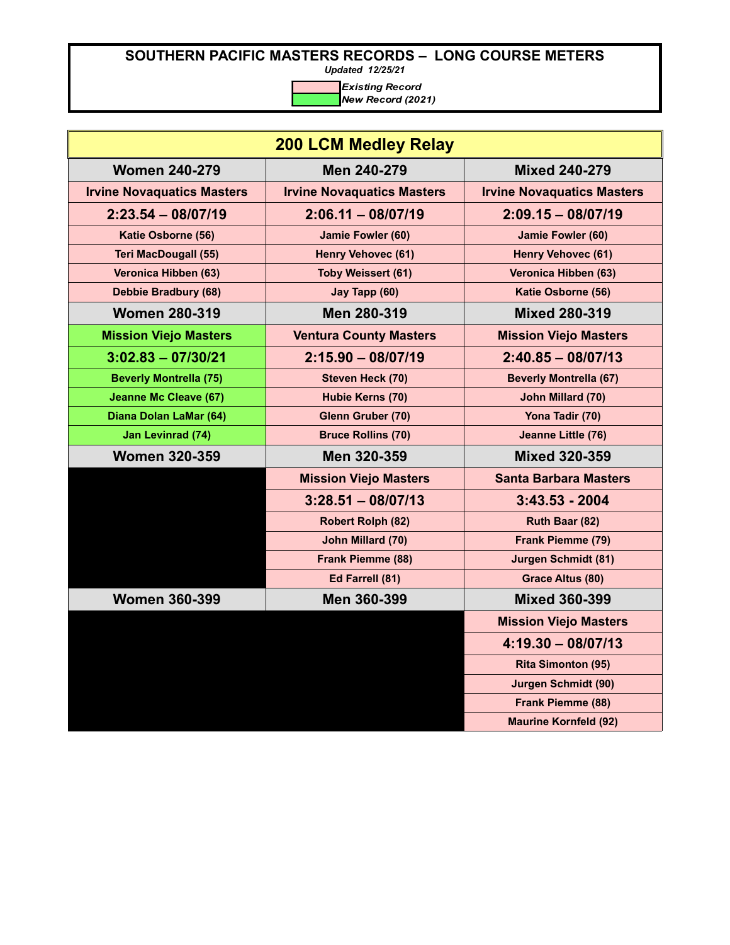*Updated 12/25/21*

| <b>200 LCM Medley Relay</b>       |                                   |                                   |
|-----------------------------------|-----------------------------------|-----------------------------------|
| <b>Women 240-279</b>              | Men 240-279                       | <b>Mixed 240-279</b>              |
| <b>Irvine Novaquatics Masters</b> | <b>Irvine Novaquatics Masters</b> | <b>Irvine Novaquatics Masters</b> |
| $2:23.54 - 08/07/19$              | $2:06.11 - 08/07/19$              | $2:09.15 - 08/07/19$              |
| Katie Osborne (56)                | Jamie Fowler (60)                 | Jamie Fowler (60)                 |
| <b>Teri MacDougall (55)</b>       | <b>Henry Vehovec (61)</b>         | <b>Henry Vehovec (61)</b>         |
| Veronica Hibben (63)              | <b>Toby Weissert (61)</b>         | Veronica Hibben (63)              |
| Debbie Bradbury (68)              | Jay Tapp (60)                     | Katie Osborne (56)                |
| <b>Women 280-319</b>              | Men 280-319                       | <b>Mixed 280-319</b>              |
| <b>Mission Viejo Masters</b>      | <b>Ventura County Masters</b>     | <b>Mission Viejo Masters</b>      |
| $3:02.83 - 07/30/21$              | $2:15.90 - 08/07/19$              | $2:40.85 - 08/07/13$              |
| <b>Beverly Montrella (75)</b>     | Steven Heck (70)                  | <b>Beverly Montrella (67)</b>     |
| <b>Jeanne Mc Cleave (67)</b>      | Hubie Kerns (70)                  | John Millard (70)                 |
| Diana Dolan LaMar (64)            | Glenn Gruber (70)                 | Yona Tadir (70)                   |
| Jan Levinrad (74)                 | <b>Bruce Rollins (70)</b>         | Jeanne Little (76)                |
| <b>Women 320-359</b>              | Men 320-359                       | <b>Mixed 320-359</b>              |
|                                   | <b>Mission Viejo Masters</b>      | <b>Santa Barbara Masters</b>      |
|                                   | $3:28.51 - 08/07/13$              | $3:43.53 - 2004$                  |
|                                   | <b>Robert Rolph (82)</b>          | Ruth Baar (82)                    |
|                                   | John Millard (70)                 | Frank Piemme (79)                 |
|                                   | <b>Frank Piemme (88)</b>          | <b>Jurgen Schmidt (81)</b>        |
|                                   | Ed Farrell (81)                   | <b>Grace Altus (80)</b>           |
| <b>Women 360-399</b>              | Men 360-399                       | <b>Mixed 360-399</b>              |
|                                   |                                   | <b>Mission Viejo Masters</b>      |
|                                   |                                   | $4:19.30 - 08/07/13$              |
|                                   |                                   | <b>Rita Simonton (95)</b>         |
|                                   |                                   | <b>Jurgen Schmidt (90)</b>        |
|                                   |                                   | <b>Frank Piemme (88)</b>          |
|                                   |                                   | <b>Maurine Kornfeld (92)</b>      |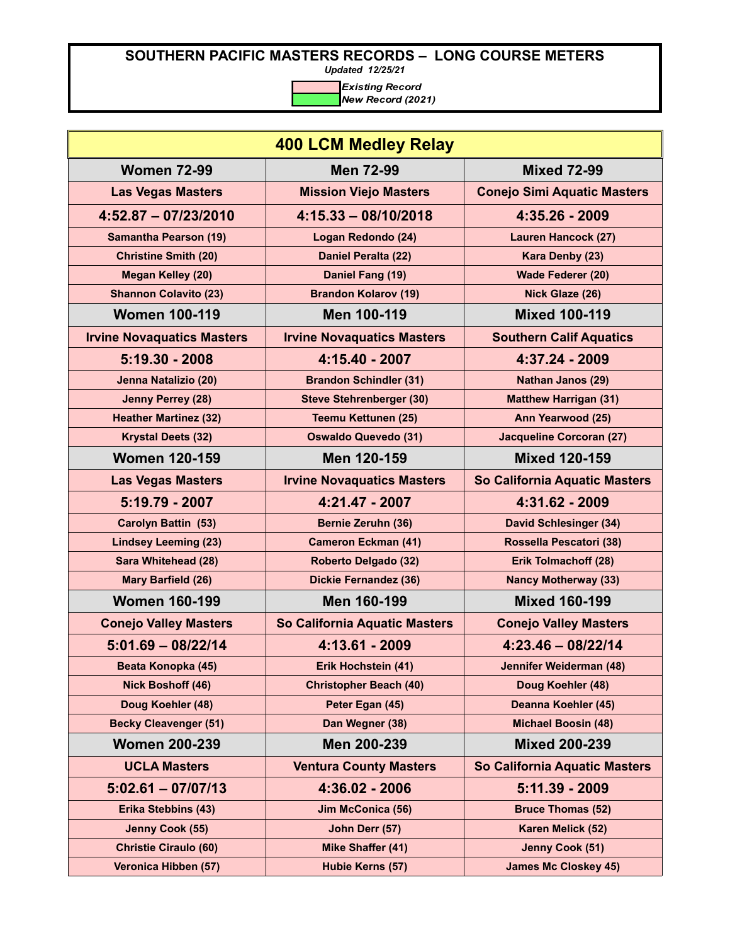*Updated 12/25/21*

| <b>400 LCM Medley Relay</b>       |                                   |                                    |
|-----------------------------------|-----------------------------------|------------------------------------|
| <b>Women 72-99</b>                | <b>Men 72-99</b>                  | <b>Mixed 72-99</b>                 |
| <b>Las Vegas Masters</b>          | <b>Mission Viejo Masters</b>      | <b>Conejo Simi Aquatic Masters</b> |
| $4:52.87 - 07/23/2010$            | $4:15.33 - 08/10/2018$            | 4:35.26 - 2009                     |
| <b>Samantha Pearson (19)</b>      | Logan Redondo (24)                | <b>Lauren Hancock (27)</b>         |
| <b>Christine Smith (20)</b>       | Daniel Peralta (22)               | Kara Denby (23)                    |
| <b>Megan Kelley (20)</b>          | Daniel Fang (19)                  | <b>Wade Federer (20)</b>           |
| <b>Shannon Colavito (23)</b>      | <b>Brandon Kolarov (19)</b>       | Nick Glaze (26)                    |
| <b>Women 100-119</b>              | Men 100-119                       | <b>Mixed 100-119</b>               |
| <b>Irvine Novaquatics Masters</b> | <b>Irvine Novaquatics Masters</b> | <b>Southern Calif Aquatics</b>     |
| $5:19.30 - 2008$                  | 4:15.40 - 2007                    | 4:37.24 - 2009                     |
| Jenna Natalizio (20)              | <b>Brandon Schindler (31)</b>     | Nathan Janos (29)                  |
| Jenny Perrey (28)                 | <b>Steve Stehrenberger (30)</b>   | <b>Matthew Harrigan (31)</b>       |
| <b>Heather Martinez (32)</b>      | <b>Teemu Kettunen (25)</b>        | Ann Yearwood (25)                  |
| <b>Krystal Deets (32)</b>         | <b>Oswaldo Quevedo (31)</b>       | <b>Jacqueline Corcoran (27)</b>    |
| <b>Women 120-159</b>              | Men 120-159                       | <b>Mixed 120-159</b>               |
| <b>Las Vegas Masters</b>          | <b>Irvine Novaquatics Masters</b> | So California Aquatic Masters      |
| 5:19.79 - 2007                    | 4:21.47 - 2007                    | 4:31.62 - 2009                     |
| Carolyn Battin (53)               | <b>Bernie Zeruhn (36)</b>         | <b>David Schlesinger (34)</b>      |
| <b>Lindsey Leeming (23)</b>       | <b>Cameron Eckman (41)</b>        | Rossella Pescatori (38)            |
| <b>Sara Whitehead (28)</b>        | <b>Roberto Delgado (32)</b>       | Erik Tolmachoff (28)               |
| Mary Barfield (26)                | <b>Dickie Fernandez (36)</b>      | <b>Nancy Motherway (33)</b>        |
| <b>Women 160-199</b>              | Men 160-199                       | <b>Mixed 160-199</b>               |
| <b>Conejo Valley Masters</b>      | So California Aquatic Masters     | <b>Conejo Valley Masters</b>       |
| $5:01.69 - 08/22/14$              | 4:13.61 - 2009                    | $4:23.46 - 08/22/14$               |
| Beata Konopka (45)                | Erik Hochstein (41)               | Jennifer Weiderman (48)            |
| <b>Nick Boshoff (46)</b>          | <b>Christopher Beach (40)</b>     | Doug Koehler (48)                  |
| Doug Koehler (48)                 | Peter Egan (45)                   | Deanna Koehler (45)                |
| <b>Becky Cleavenger (51)</b>      | Dan Wegner (38)                   | <b>Michael Boosin (48)</b>         |
| <b>Women 200-239</b>              | Men 200-239                       | <b>Mixed 200-239</b>               |
| <b>UCLA Masters</b>               | <b>Ventura County Masters</b>     | So California Aquatic Masters      |
| $5:02.61 - 07/07/13$              | 4:36.02 - 2006                    | 5:11.39 - 2009                     |
| <b>Erika Stebbins (43)</b>        | <b>Jim McConica (56)</b>          | <b>Bruce Thomas (52)</b>           |
| Jenny Cook (55)                   | John Derr (57)                    | Karen Melick (52)                  |
| <b>Christie Ciraulo (60)</b>      | <b>Mike Shaffer (41)</b>          | Jenny Cook (51)                    |
| Veronica Hibben (57)              | Hubie Kerns (57)                  | <b>James Mc Closkey 45)</b>        |